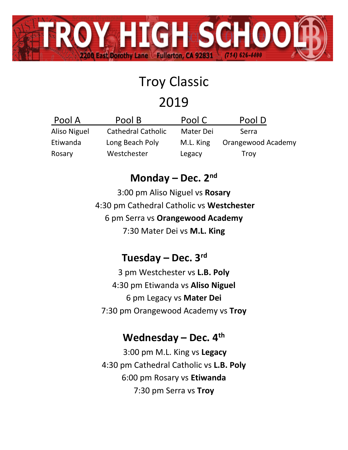

# Troy Classic

## 2019

| Pool A       | Pool B                    | Pool C    | Pool D             |
|--------------|---------------------------|-----------|--------------------|
| Aliso Niguel | <b>Cathedral Catholic</b> | Mater Dei | Serra              |
| Etiwanda     | Long Beach Poly           | M.L. King | Orangewood Academy |
| Rosary       | Westchester               | Legacy    | Troy               |

### **Monday – Dec. 2 nd**

3:00 pm Aliso Niguel vs **Rosary** 4:30 pm Cathedral Catholic vs **Westchester** 6 pm Serra vs **Orangewood Academy** 7:30 Mater Dei vs **M.L. King**

#### **Tuesday – Dec. 3 rd**

3 pm Westchester vs **L.B. Poly** 4:30 pm Etiwanda vs **Aliso Niguel** 6 pm Legacy vs **Mater Dei** 7:30 pm Orangewood Academy vs **Troy**

#### **Wednesday – Dec. 4 th**

3:00 pm M.L. King vs **Legacy** 4:30 pm Cathedral Catholic vs **L.B. Poly** 6:00 pm Rosary vs **Etiwanda** 7:30 pm Serra vs **Troy**